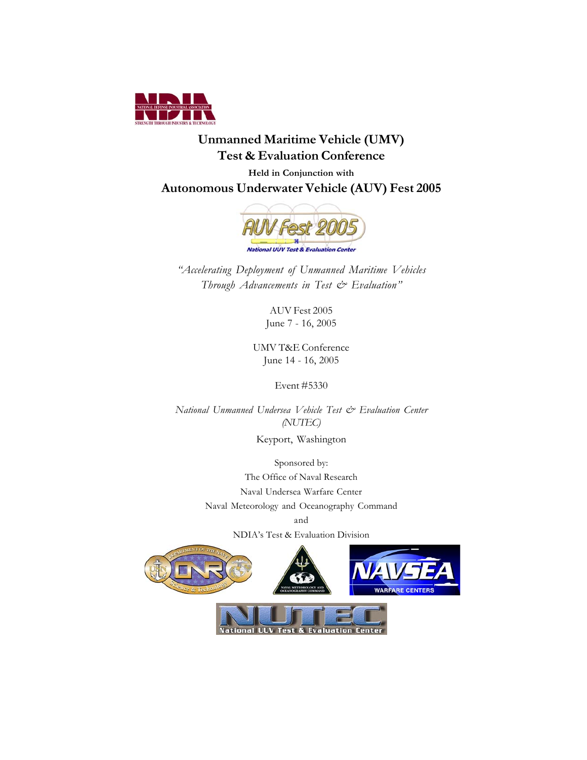

# **Unmanned Maritime Vehicle (UMV) Test & Evaluation Conference Held in Conjunction with Autonomous Underwater Vehicle (AUV) Fest 2005**



*"Accelerating Deployment of Unmanned Maritime Vehicles Through Advancements in Test & Evaluation"*

> AUV Fest 2005 June 7 - 16, 2005

UMV T&E Conference June 14 - 16, 2005

Event #5330

*National Unmanned Undersea Vehicle Test & Evaluation Center (NUTEC)*

Keyport, Washington

Sponsored by: The Office of Naval Research Naval Undersea Warfare Center Naval Meteorology and Oceanography Command and

NDIA's Test & Evaluation Division



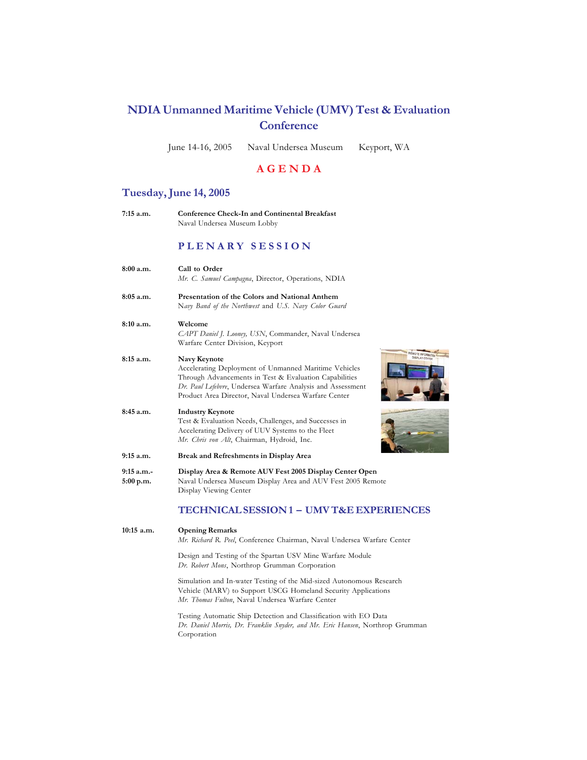## **NDIA Unmanned Maritime Vehicle (UMV) Test & Evaluation Conference**

June 14-16, 2005 Naval Undersea Museum Keyport, WA

### **A G E N D A**

#### **Tuesday, June 14, 2005**

| $7:15$ a.m.                  | <b>Conference Check-In and Continental Breakfast</b><br>Naval Undersea Museum Lobby                                                                                                                                                                                                                   |
|------------------------------|-------------------------------------------------------------------------------------------------------------------------------------------------------------------------------------------------------------------------------------------------------------------------------------------------------|
|                              | PLENARY SESSION                                                                                                                                                                                                                                                                                       |
| 8:00a.m.                     | Call to Order<br>Mr. C. Samuel Campagna, Director, Operations, NDIA                                                                                                                                                                                                                                   |
| 8:05a.m.                     | Presentation of the Colors and National Anthem<br>Navy Band of the Northwest and U.S. Navy Color Guard                                                                                                                                                                                                |
| 8:10a.m.                     | Welcome<br>CAPT Daniel J. Looney, USN, Commander, Naval Undersea<br>Warfare Center Division, Keyport                                                                                                                                                                                                  |
| 8:15a.m.                     | <b>REMOTE INFORM</b><br>DISPLAY CENT<br><b>Navy Keynote</b><br>Accelerating Deployment of Unmanned Maritime Vehicles<br>Through Advancements in Test & Evaluation Capabilities<br>Dr. Paul Lefebvre, Undersea Warfare Analysis and Assessment<br>Product Area Director, Naval Undersea Warfare Center |
| 8:45a.m.                     | <b>Industry Keynote</b><br>Test & Evaluation Needs, Challenges, and Successes in<br>Accelerating Delivery of UUV Systems to the Fleet<br>Mr. Chris von Alt, Chairman, Hydroid, Inc.                                                                                                                   |
| 9:15 a.m.                    | Break and Refreshments in Display Area                                                                                                                                                                                                                                                                |
| $9:15 a.m. -$<br>$5:00$ p.m. | Display Area & Remote AUV Fest 2005 Display Center Open<br>Naval Undersea Museum Display Area and AUV Fest 2005 Remote<br>Display Viewing Center                                                                                                                                                      |
|                              | <b>TECHNICAL SESSION 1 - UMV T&amp;E EXPERIENCES</b>                                                                                                                                                                                                                                                  |
| 10:15 a.m.                   | <b>Opening Remarks</b>                                                                                                                                                                                                                                                                                |





*Mr. Richard R. Peel*, Conference Chairman, Naval Undersea Warfare Center

Design and Testing of the Spartan USV Mine Warfare Module *Dr. Robert Mons*, Northrop Grumman Corporation

Simulation and In-water Testing of the Mid-sized Autonomous Research Vehicle (MARV) to Support USCG Homeland Security Applications *Mr. Thomas Fulton*, Naval Undersea Warfare Center

Testing Automatic Ship Detection and Classification with EO Data *Dr. Daniel Morris, Dr. Franklin Snyder, and Mr. Eric Hansen*, Northrop Grumman Corporation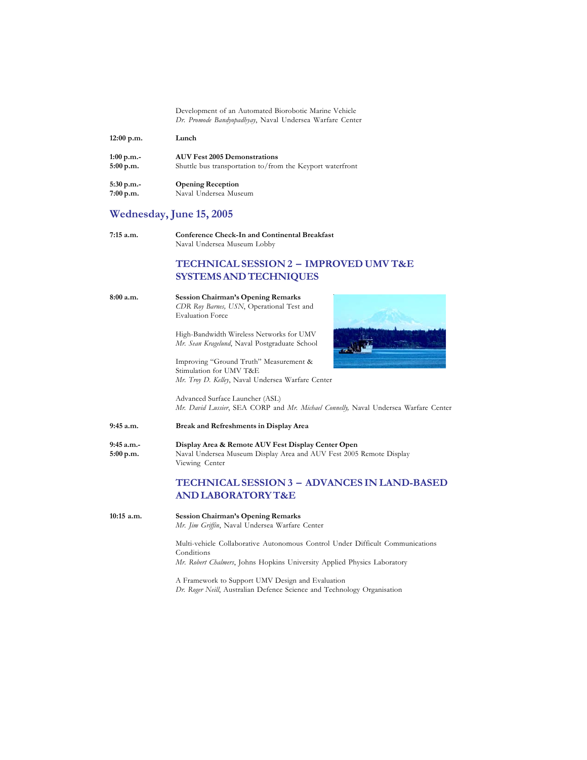Development of an Automated Biorobotic Marine Vehicle *Dr. Promode Bandyopadhyay*, Naval Undersea Warfare Center

**12:00 p.m. Lunch**

| $1:00$ p.m.- | <b>AUV Fest 2005 Demonstrations</b>                       |
|--------------|-----------------------------------------------------------|
| $5:00$ p.m.  | Shuttle bus transportation to/from the Keyport waterfront |
|              |                                                           |

**5:30 p.m.- Opening Reception**<br>**7:00 p.m.** Naval Undersea Mus **7:00 p.m.** Naval Undersea Museum

#### **Wednesday, June 15, 2005**

**7:15 a.m. Conference Check-In and Continental Breakfast** Naval Undersea Museum Lobby

#### **TECHNICAL SESSION 2 – IMPROVED UMV T&E SYSTEMS AND TECHNIQUES**

**8:00 a.m. Session Chairman's Opening Remarks** *CDR Roy Barnes, USN*, Operational Test and Evaluation Force High-Bandwidth Wireless Networks for UMV *Mr. Sean Kragelund*, Naval Postgraduate School Improving "Ground Truth" Measurement & Stimulation for UMV T&E *Mr. Troy D. Kelley*, Naval Undersea Warfare Center Advanced Surface Launcher (ASL) *Mr. David Lussier*, SEA CORP and *Mr. Michael Connelly,* Naval Undersea Warfare Center **9:45 a.m. Break and Refreshments in Display Area 9:45 a.m.- Display Area & Remote AUV Fest Display Center Open** 5:00 p.m. Naval Undersea Museum Display Area and AUV Fest 2005 **5:00 p.m.** Naval Undersea Museum Display Area and AUV Fest 2005 Remote Display Viewing Center **TECHNICAL SESSION 3 – ADVANCES IN LAND-BASED AND LABORATORY T&E 10:15 a.m. Session Chairman's Opening Remarks** *Mr. Jim Griffin*, Naval Undersea Warfare Center Multi-vehicle Collaborative Autonomous Control Under Difficult Communications Conditions *Mr. Robert Chalmers*, Johns Hopkins University Applied Physics Laboratory

> A Framework to Support UMV Design and Evaluation *Dr. Roger Neill*, Australian Defence Science and Technology Organisation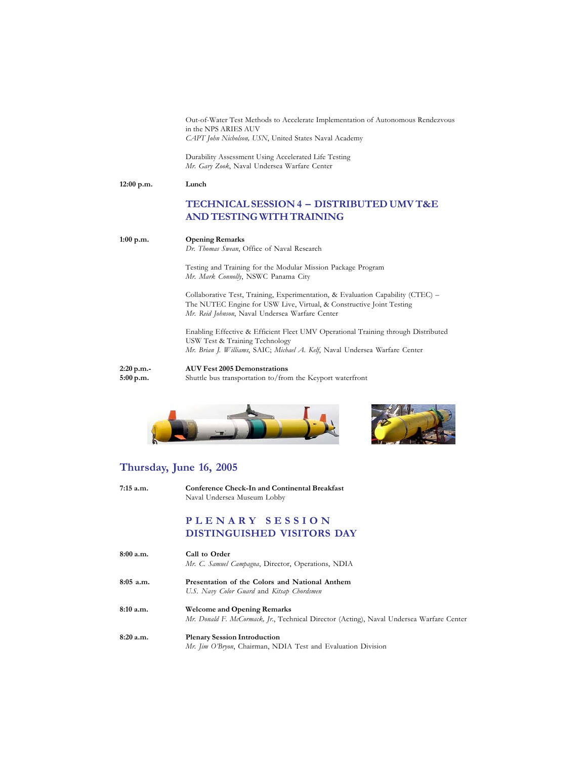Out-of-Water Test Methods to Accelerate Implementation of Autonomous Rendezvous in the NPS ARIES AUV *CAPT John Nicholson, USN*, United States Naval Academy

Durability Assessment Using Accelerated Life Testing *Mr. Gary Zook*, Naval Undersea Warfare Center

**12:00 p.m. Lunch**

#### **TECHNICAL SESSION 4 – DISTRIBUTED UMV T&E AND TESTING WITH TRAINING**

**1:00 p.m. Opening Remarks**

*Dr. Thomas Swean*, Office of Naval Research

Testing and Training for the Modular Mission Package Program *Mr. Mark Connolly*, NSWC Panama City

Collaborative Test, Training, Experimentation, & Evaluation Capability (CTEC) – The NUTEC Engine for USW Live, Virtual, & Constructive Joint Testing *Mr. Reid Johnson*, Naval Undersea Warfare Center

Enabling Effective & Efficient Fleet UMV Operational Training through Distributed USW Test & Training Technology *Mr. Brian J. Williams*, SAIC; *Michael A. Kelf*, Naval Undersea Warfare Center

**2:20 p.m.- AUV Fest 2005 Demonstrations** Shuttle bus transportation to/from the Keyport waterfront





#### **Thursday, June 16, 2005**

**7:15 a.m. Conference Check-In and Continental Breakfast** Naval Undersea Museum Lobby **P L E N A R Y S E S S I O N DISTINGUISHED VISITORS DAY 8:00 a.m. Call to Order** *Mr. C. Samuel Campagna*, Director, Operations, NDIA **8:05 a.m. Presentation of the Colors and National Anthem** *U.S. Navy Color Guard* and *Kitsap Chordsmen* **8:10 a.m. Welcome and Opening Remarks** *Mr. Donald F. McCormack, Jr.*, Technical Director (Acting), Naval Undersea Warfare Center **8:20 a.m. Plenary Session Introduction** *Mr. Jim O'Bryon*, Chairman, NDIA Test and Evaluation Division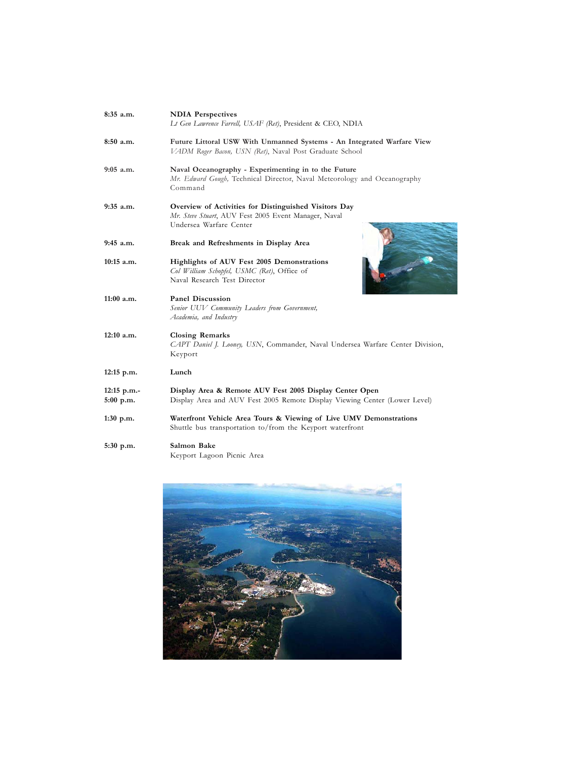| 8:35 a.m.                    | <b>NDIA</b> Perspectives<br>Lt Gen Lawrence Farrell, USAF (Ret), President & CEO, NDIA                                                     |
|------------------------------|--------------------------------------------------------------------------------------------------------------------------------------------|
| 8:50 a.m.                    | Future Littoral USW With Unmanned Systems - An Integrated Warfare View<br>VADM Roger Bacon, USN (Ret), Naval Post Graduate School          |
| $9:05$ a.m.                  | Naval Oceanography - Experimenting in to the Future<br>Mr. Edward Gough, Technical Director, Naval Meteorology and Oceanography<br>Command |
| $9:35$ a.m.                  | Overview of Activities for Distinguished Visitors Day<br>Mr. Steve Stuart, AUV Fest 2005 Event Manager, Naval<br>Undersea Warfare Center   |
| $9:45$ a.m.                  | Break and Refreshments in Display Area                                                                                                     |
| $10:15$ a.m.                 | Highlights of AUV Fest 2005 Demonstrations<br>Col William Schopfel, USMC (Ret), Office of<br>Naval Research Test Director                  |
| $11:00$ a.m.                 | <b>Panel Discussion</b><br>Senior UUV Community Leaders from Government,<br>Academia, and Industry                                         |
| 12:10 a.m.                   | <b>Closing Remarks</b><br>CAPT Daniel J. Looney, USN, Commander, Naval Undersea Warfare Center Division,<br>Keyport                        |
| $12:15$ p.m.                 | Lunch                                                                                                                                      |
| $12:15$ p.m.-<br>$5:00$ p.m. | Display Area & Remote AUV Fest 2005 Display Center Open<br>Display Area and AUV Fest 2005 Remote Display Viewing Center (Lower Level)      |
| $1:30$ p.m.                  | Waterfront Vehicle Area Tours & Viewing of Live UMV Demonstrations<br>Shuttle bus transportation to/from the Keyport waterfront            |
| 5:30 p.m.                    | Salmon Bake<br>Keyport Lagoon Picnic Area                                                                                                  |